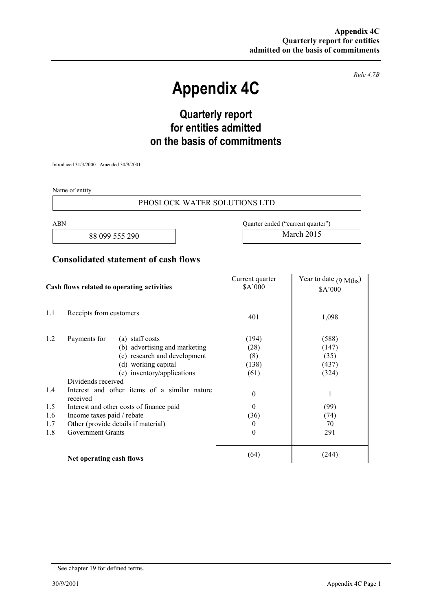*Rule 4.7B* 

# **Appendix 4C**

# **Quarterly report for entities admitted on the basis of commitments**

Introduced 31/3/2000. Amended 30/9/2001

Name of entity

#### PHOSLOCK WATER SOLUTIONS LTD

88 099 555 290 March 2015

ABN Quarter ended ("current quarter")

### **Consolidated statement of cash flows**

| Cash flows related to operating activities |                                                                                                                                                                                                                                                                                                                                                                                      | Current quarter<br>\$A'000                                                                          | Year to date $(9 \text{ Mths})$<br>\$A'000                                 |
|--------------------------------------------|--------------------------------------------------------------------------------------------------------------------------------------------------------------------------------------------------------------------------------------------------------------------------------------------------------------------------------------------------------------------------------------|-----------------------------------------------------------------------------------------------------|----------------------------------------------------------------------------|
| 1.1                                        | Receipts from customers                                                                                                                                                                                                                                                                                                                                                              | 401                                                                                                 | 1,098                                                                      |
| 1.2<br>1.4<br>1.5<br>1.6<br>1.7<br>1.8     | Payments for<br>(a) staff costs<br>(b) advertising and marketing<br>(c) research and development<br>(d) working capital<br>(e) inventory/applications<br>Dividends received<br>Interest and other items of a similar nature<br>received<br>Interest and other costs of finance paid<br>Income taxes paid / rebate<br>Other (provide details if material)<br><b>Government Grants</b> | (194)<br>(28)<br>(8)<br>(138)<br>(61)<br>$\overline{0}$<br>$\Omega$<br>(36)<br>$\bf{0}$<br>$\theta$ | (588)<br>(147)<br>(35)<br>(437)<br>(324)<br>1<br>(99)<br>(74)<br>70<br>291 |
|                                            | Net operating cash flows                                                                                                                                                                                                                                                                                                                                                             | (64)                                                                                                | (244)                                                                      |

<sup>+</sup> See chapter 19 for defined terms.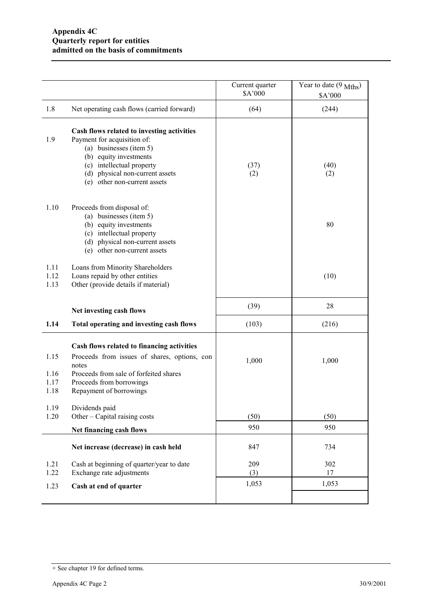|                              |                                                                                                                                                                                                                                | Current quarter<br>\$A'000 | Year to date $(9 \text{ Mths})$<br>\$A'000 |
|------------------------------|--------------------------------------------------------------------------------------------------------------------------------------------------------------------------------------------------------------------------------|----------------------------|--------------------------------------------|
| 1.8                          | Net operating cash flows (carried forward)                                                                                                                                                                                     | (64)                       | (244)                                      |
| 1.9                          | Cash flows related to investing activities<br>Payment for acquisition of:<br>(a) businesses (item 5)<br>(b) equity investments<br>(c) intellectual property<br>(d) physical non-current assets<br>(e) other non-current assets | (37)<br>(2)                | (40)<br>(2)                                |
| 1.10                         | Proceeds from disposal of:<br>(a) businesses (item 5)<br>(b) equity investments<br>(c) intellectual property<br>(d) physical non-current assets<br>(e) other non-current assets                                                |                            | 80                                         |
| 1.11<br>1.12<br>1.13         | Loans from Minority Shareholders<br>Loans repaid by other entities<br>Other (provide details if material)                                                                                                                      |                            | (10)                                       |
|                              | Net investing cash flows                                                                                                                                                                                                       | (39)                       | 28                                         |
| 1.14                         | Total operating and investing cash flows                                                                                                                                                                                       | (103)                      | (216)                                      |
| 1.15<br>1.16<br>1.17<br>1.18 | Cash flows related to financing activities<br>Proceeds from issues of shares, options, con<br>notes<br>Proceeds from sale of forfeited shares<br>Proceeds from borrowings<br>Repayment of borrowings                           | 1,000                      | 1,000                                      |
| 1.19<br>1.20                 | Dividends paid<br>Other – Capital raising costs                                                                                                                                                                                | (50)                       | (50)                                       |
|                              | Net financing cash flows                                                                                                                                                                                                       | 950                        | 950                                        |
|                              | Net increase (decrease) in cash held                                                                                                                                                                                           | 847                        | 734                                        |
| 1.21<br>1.22                 | Cash at beginning of quarter/year to date<br>Exchange rate adjustments                                                                                                                                                         | 209<br>(3)                 | 302<br>17                                  |
| 1.23                         | Cash at end of quarter                                                                                                                                                                                                         | 1,053                      | 1,053                                      |
|                              |                                                                                                                                                                                                                                |                            |                                            |

<sup>+</sup> See chapter 19 for defined terms.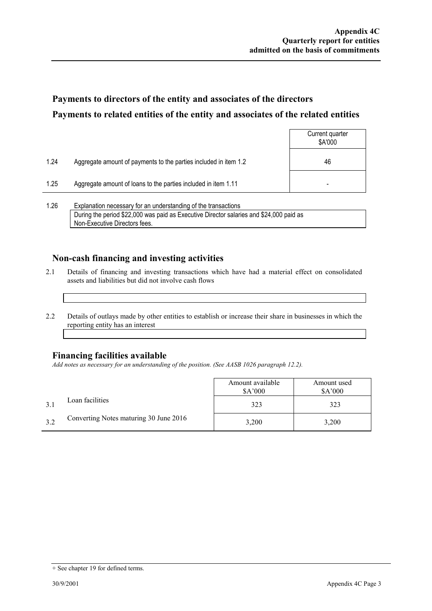## **Payments to directors of the entity and associates of the directors Payments to related entities of the entity and associates of the related entities**

|                |                                                                  | Current quarter<br>\$A'000 |
|----------------|------------------------------------------------------------------|----------------------------|
| 1.24           | Aggregate amount of payments to the parties included in item 1.2 | 46                         |
| 1.25           | Aggregate amount of loans to the parties included in item 1.11   |                            |
| $\overline{a}$ |                                                                  |                            |

1.26 Explanation necessary for an understanding of the transactions During the period \$22,000 was paid as Executive Director salaries and \$24,000 paid as Non-Executive Directors fees.

### **Non-cash financing and investing activities**

- 2.1 Details of financing and investing transactions which have had a material effect on consolidated assets and liabilities but did not involve cash flows
- 2.2 Details of outlays made by other entities to establish or increase their share in businesses in which the reporting entity has an interest

#### **Financing facilities available**

*Add notes as necessary for an understanding of the position. (See AASB 1026 paragraph 12.2).* 

|     |                                        | Amount available<br>\$A'000 | Amount used<br>\$A'000 |
|-----|----------------------------------------|-----------------------------|------------------------|
|     | Loan facilities                        | 323                         | 323                    |
| 3.2 | Converting Notes maturing 30 June 2016 | 3,200                       | 3,200                  |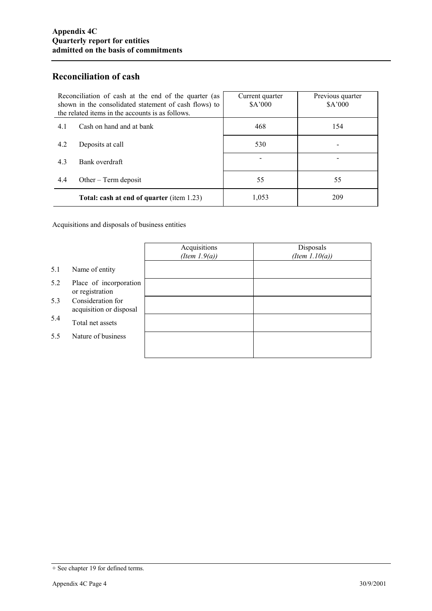### **Reconciliation of cash**

| Reconciliation of cash at the end of the quarter (as<br>shown in the consolidated statement of cash flows) to<br>the related items in the accounts is as follows. |                                           | Current quarter<br>\$A'000 | Previous quarter<br>\$A'000 |
|-------------------------------------------------------------------------------------------------------------------------------------------------------------------|-------------------------------------------|----------------------------|-----------------------------|
| 4.1                                                                                                                                                               | Cash on hand and at bank                  | 468                        | 154                         |
| 4.2                                                                                                                                                               | Deposits at call                          | 530                        |                             |
| 4.3                                                                                                                                                               | Bank overdraft                            |                            |                             |
| 4.4                                                                                                                                                               | Other $-$ Term deposit                    | 55                         | 55                          |
|                                                                                                                                                                   | Total: cash at end of quarter (item 1.23) | 1,053                      | 209                         |

Acquisitions and disposals of business entities

|     |                                              | Acquisitions<br>(Item $1.9(a)$ ) | Disposals<br>(Item $1.10(a)$ ) |
|-----|----------------------------------------------|----------------------------------|--------------------------------|
| 5.1 | Name of entity                               |                                  |                                |
| 5.2 | Place of incorporation<br>or registration    |                                  |                                |
| 5.3 | Consideration for<br>acquisition or disposal |                                  |                                |
| 5.4 | Total net assets                             |                                  |                                |
| 5.5 | Nature of business                           |                                  |                                |
|     |                                              |                                  |                                |

<sup>+</sup> See chapter 19 for defined terms.